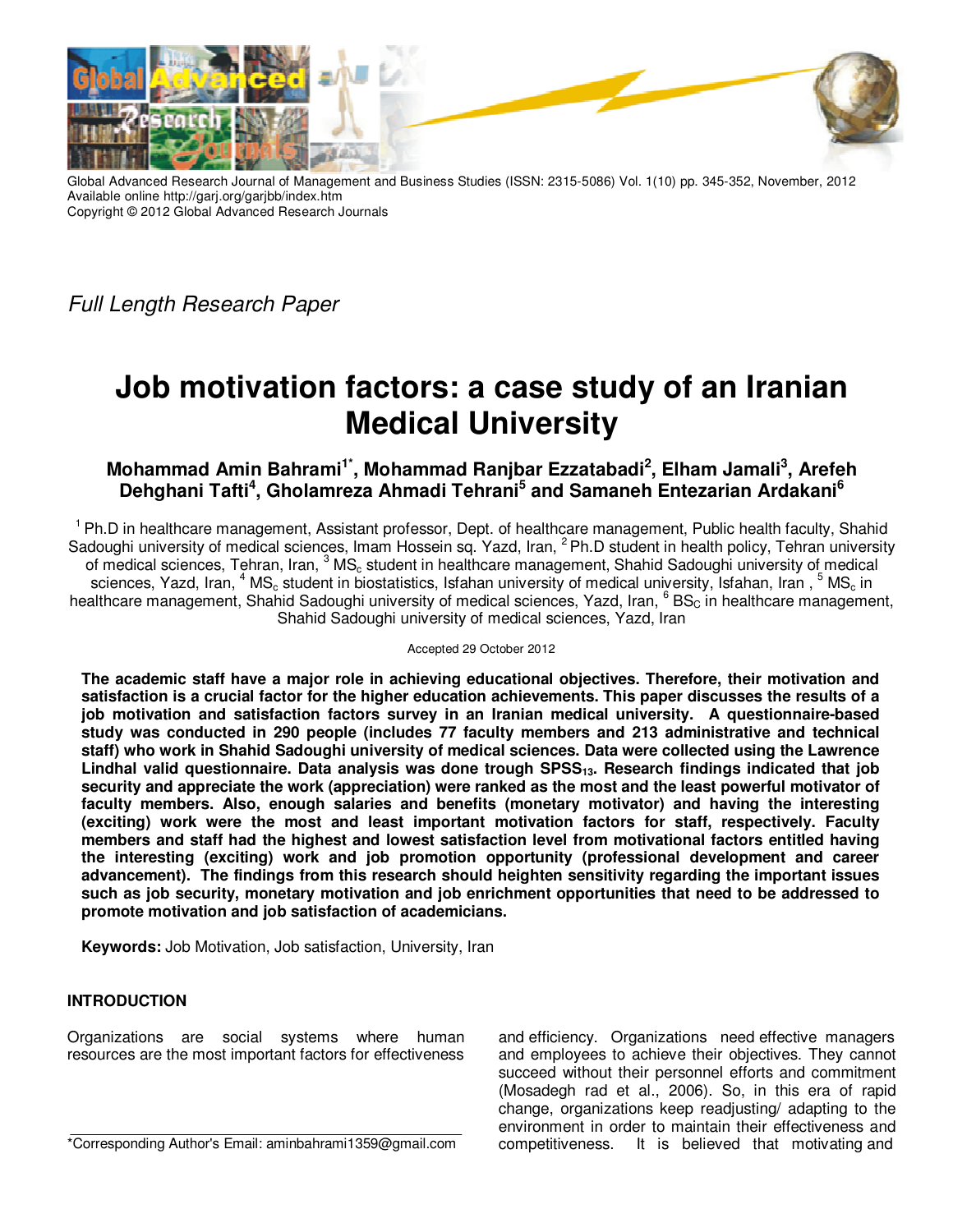

Global Advanced Research Journal of Management and Business Studies (ISSN: 2315-5086) Vol. 1(10) pp. 345-352, November, 2012 Available online http://garj.org/garjbb/index.htm Copyright © 2012 Global Advanced Research Journals

Full Length Research Paper

# **Job motivation factors: a case study of an Iranian Medical University**

# **Mohammad Amin Bahrami1\*, Mohammad Ranjbar Ezzatabadi<sup>2</sup> , Elham Jamali<sup>3</sup> , Arefeh Dehghani Tafti<sup>4</sup> , Gholamreza Ahmadi Tehrani<sup>5</sup> and Samaneh Entezarian Ardakani<sup>6</sup>**

<sup>1</sup> Ph.D in healthcare management, Assistant professor, Dept. of healthcare management, Public health faculty, Shahid Sadoughi university of medical sciences, Imam Hossein sq. Yazd, Iran, <sup>2</sup>Ph.D student in health policy, Tehran university of medical sciences, Tehran, Iran, <sup>3</sup> MS<sub>c</sub> student in healthcare management, Shahid Sadoughi university of medical sciences, Yazd, Iran,  $^4$  MS<sub>c</sub> student in biostatistics, Isfahan university of medical university, Isfahan, Iran,  $^5$  MS<sub>c</sub> in healthcare management, Shahid Sadoughi university of medical sciences, Yazd, Iran, <sup>6</sup> BS<sub>C</sub> in healthcare management, Shahid Sadoughi university of medical sciences, Yazd, Iran

#### Accepted 29 October 2012

**The academic staff have a major role in achieving educational objectives. Therefore, their motivation and satisfaction is a crucial factor for the higher education achievements. This paper discusses the results of a job motivation and satisfaction factors survey in an Iranian medical university. A questionnaire-based study was conducted in 290 people (includes 77 faculty members and 213 administrative and technical staff) who work in Shahid Sadoughi university of medical sciences. Data were collected using the Lawrence Lindhal valid questionnaire. Data analysis was done trough SPSS13. Research findings indicated that job security and appreciate the work (appreciation) were ranked as the most and the least powerful motivator of faculty members. Also, enough salaries and benefits (monetary motivator) and having the interesting (exciting) work were the most and least important motivation factors for staff, respectively. Faculty members and staff had the highest and lowest satisfaction level from motivational factors entitled having the interesting (exciting) work and job promotion opportunity (professional development and career advancement). The findings from this research should heighten sensitivity regarding the important issues such as job security, monetary motivation and job enrichment opportunities that need to be addressed to promote motivation and job satisfaction of academicians.** 

**Keywords:** Job Motivation, Job satisfaction, University, Iran

## **INTRODUCTION**

Organizations are social systems where human resources are the most important factors for effectiveness

\*Corresponding Author's Email: aminbahrami1359@gmail.com

and efficiency. Organizations need effective managers and employees to achieve their objectives. They cannot succeed without their personnel efforts and commitment (Mosadegh rad et al., 2006). So, in this era of rapid change, organizations keep readjusting/ adapting to the environment in order to maintain their effectiveness and competitiveness. It is believed that motivating and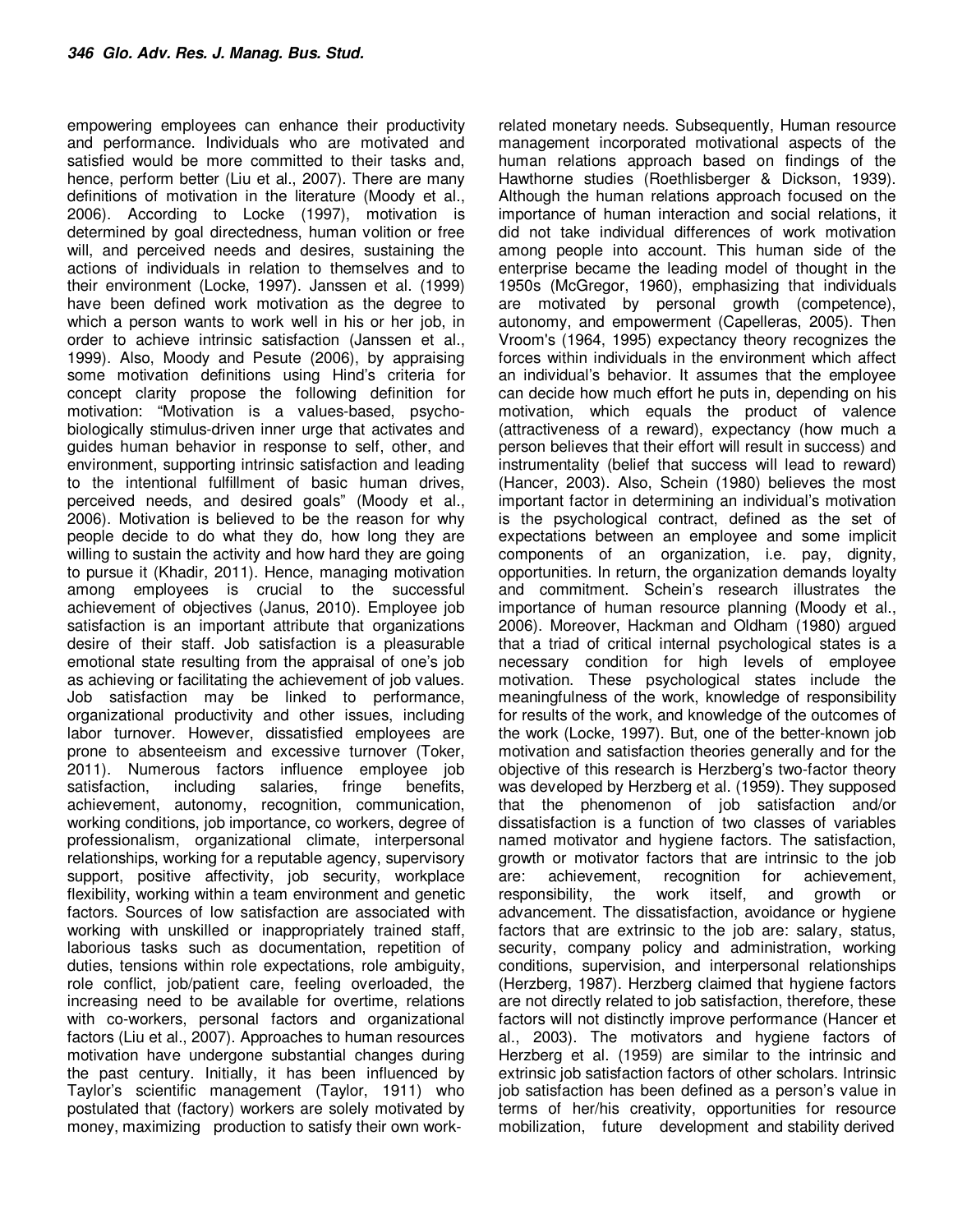empowering employees can enhance their productivity and performance. Individuals who are motivated and satisfied would be more committed to their tasks and, hence, perform better (Liu et al., 2007). There are many definitions of motivation in the literature (Moody et al., 2006). According to Locke (1997), motivation is determined by goal directedness, human volition or free will, and perceived needs and desires, sustaining the actions of individuals in relation to themselves and to their environment (Locke, 1997). Janssen et al. (1999) have been defined work motivation as the degree to which a person wants to work well in his or her job, in order to achieve intrinsic satisfaction (Janssen et al., 1999). Also, Moody and Pesute (2006), by appraising some motivation definitions using Hind's criteria for concept clarity propose the following definition for motivation: "Motivation is a values-based, psychobiologically stimulus-driven inner urge that activates and guides human behavior in response to self, other, and environment, supporting intrinsic satisfaction and leading to the intentional fulfillment of basic human drives, perceived needs, and desired goals" (Moody et al., 2006). Motivation is believed to be the reason for why people decide to do what they do, how long they are willing to sustain the activity and how hard they are going to pursue it (Khadir, 2011). Hence, managing motivation among employees is crucial to the successful achievement of objectives (Janus, 2010). Employee job satisfaction is an important attribute that organizations desire of their staff. Job satisfaction is a pleasurable emotional state resulting from the appraisal of one's job as achieving or facilitating the achievement of job values. Job satisfaction may be linked to performance, organizational productivity and other issues, including labor turnover. However, dissatisfied employees are prone to absenteeism and excessive turnover (Toker, 2011). Numerous factors influence employee job satisfaction, including salaries, fringe benefits, achievement, autonomy, recognition, communication, working conditions, job importance, co workers, degree of professionalism, organizational climate, interpersonal relationships, working for a reputable agency, supervisory support, positive affectivity, job security, workplace flexibility, working within a team environment and genetic factors. Sources of low satisfaction are associated with working with unskilled or inappropriately trained staff, laborious tasks such as documentation, repetition of duties, tensions within role expectations, role ambiguity, role conflict, job/patient care, feeling overloaded, the increasing need to be available for overtime, relations with co-workers, personal factors and organizational factors (Liu et al., 2007). Approaches to human resources motivation have undergone substantial changes during the past century. Initially, it has been influenced by Taylor's scientific management (Taylor, 1911) who postulated that (factory) workers are solely motivated by money, maximizing production to satisfy their own work-

related monetary needs. Subsequently, Human resource management incorporated motivational aspects of the human relations approach based on findings of the Hawthorne studies (Roethlisberger & Dickson, 1939). Although the human relations approach focused on the importance of human interaction and social relations, it did not take individual differences of work motivation among people into account. This human side of the enterprise became the leading model of thought in the 1950s (McGregor, 1960), emphasizing that individuals are motivated by personal growth (competence), autonomy, and empowerment (Capelleras, 2005). Then Vroom's (1964, 1995) expectancy theory recognizes the forces within individuals in the environment which affect an individual's behavior. It assumes that the employee can decide how much effort he puts in, depending on his motivation, which equals the product of valence (attractiveness of a reward), expectancy (how much a person believes that their effort will result in success) and instrumentality (belief that success will lead to reward) (Hancer, 2003). Also, Schein (1980) believes the most important factor in determining an individual's motivation is the psychological contract, defined as the set of expectations between an employee and some implicit components of an organization, i.e. pay, dignity, opportunities. In return, the organization demands loyalty and commitment. Schein's research illustrates the importance of human resource planning (Moody et al., 2006). Moreover, Hackman and Oldham (1980) argued that a triad of critical internal psychological states is a necessary condition for high levels of employee motivation. These psychological states include the meaningfulness of the work, knowledge of responsibility for results of the work, and knowledge of the outcomes of the work (Locke, 1997). But, one of the better-known job motivation and satisfaction theories generally and for the objective of this research is Herzberg's two-factor theory was developed by Herzberg et al. (1959). They supposed that the phenomenon of job satisfaction and/or dissatisfaction is a function of two classes of variables named motivator and hygiene factors. The satisfaction, growth or motivator factors that are intrinsic to the job are: achievement, recognition for achievement, responsibility, the work itself, and growth or advancement. The dissatisfaction, avoidance or hygiene factors that are extrinsic to the job are: salary, status, security, company policy and administration, working conditions, supervision, and interpersonal relationships (Herzberg, 1987). Herzberg claimed that hygiene factors are not directly related to job satisfaction, therefore, these factors will not distinctly improve performance (Hancer et al., 2003). The motivators and hygiene factors of Herzberg et al. (1959) are similar to the intrinsic and extrinsic job satisfaction factors of other scholars. Intrinsic job satisfaction has been defined as a person's value in terms of her/his creativity, opportunities for resource mobilization, future development and stability derived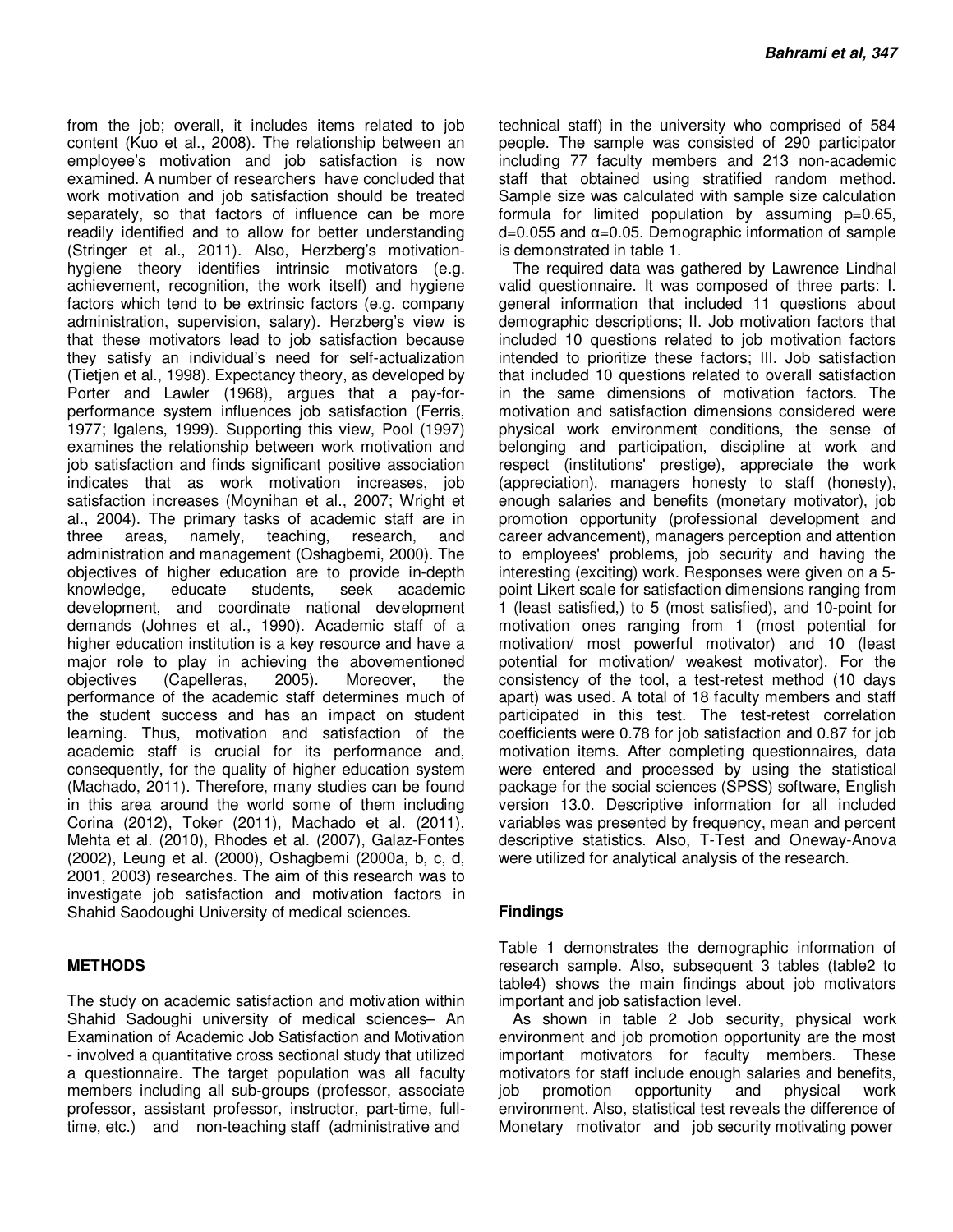from the job; overall, it includes items related to job content (Kuo et al., 2008). The relationship between an employee's motivation and job satisfaction is now examined. A number of researchers have concluded that work motivation and job satisfaction should be treated separately, so that factors of influence can be more readily identified and to allow for better understanding (Stringer et al., 2011). Also, Herzberg's motivationhygiene theory identifies intrinsic motivators (e.g. achievement, recognition, the work itself) and hygiene factors which tend to be extrinsic factors (e.g. company administration, supervision, salary). Herzberg's view is that these motivators lead to job satisfaction because they satisfy an individual's need for self-actualization (Tietjen et al., 1998). Expectancy theory, as developed by Porter and Lawler (1968), argues that a pay-forperformance system influences job satisfaction (Ferris, 1977; Igalens, 1999). Supporting this view, Pool (1997) examines the relationship between work motivation and job satisfaction and finds significant positive association indicates that as work motivation increases, job satisfaction increases (Moynihan et al., 2007; Wright et al., 2004). The primary tasks of academic staff are in three areas, namely, teaching, research, and administration and management (Oshagbemi, 2000). The objectives of higher education are to provide in-depth knowledge, educate students, seek academic development, and coordinate national development demands (Johnes et al., 1990). Academic staff of a higher education institution is a key resource and have a major role to play in achieving the abovementioned objectives (Capelleras, 2005). Moreover, the performance of the academic staff determines much of the student success and has an impact on student learning. Thus, motivation and satisfaction of the academic staff is crucial for its performance and, consequently, for the quality of higher education system (Machado, 2011). Therefore, many studies can be found in this area around the world some of them including Corina (2012), Toker (2011), Machado et al. (2011), Mehta et al. (2010), Rhodes et al. (2007), Galaz-Fontes (2002), Leung et al. (2000), Oshagbemi (2000a, b, c, d, 2001, 2003) researches. The aim of this research was to investigate job satisfaction and motivation factors in Shahid Saodoughi University of medical sciences.

#### **METHODS**

The study on academic satisfaction and motivation within Shahid Sadoughi university of medical sciences– An Examination of Academic Job Satisfaction and Motivation - involved a quantitative cross sectional study that utilized a questionnaire. The target population was all faculty members including all sub-groups (professor, associate professor, assistant professor, instructor, part-time, fulltime, etc.) and non-teaching staff (administrative and

technical staff) in the university who comprised of 584 people. The sample was consisted of 290 participator including 77 faculty members and 213 non-academic staff that obtained using stratified random method. Sample size was calculated with sample size calculation formula for limited population by assuming p=0.65,  $d=0.055$  and  $\alpha=0.05$ . Demographic information of sample is demonstrated in table 1.

The required data was gathered by Lawrence Lindhal valid questionnaire. It was composed of three parts: I. general information that included 11 questions about demographic descriptions; II. Job motivation factors that included 10 questions related to job motivation factors intended to prioritize these factors; III. Job satisfaction that included 10 questions related to overall satisfaction in the same dimensions of motivation factors. The motivation and satisfaction dimensions considered were physical work environment conditions, the sense of belonging and participation, discipline at work and respect (institutions' prestige), appreciate the work (appreciation), managers honesty to staff (honesty), enough salaries and benefits (monetary motivator), job promotion opportunity (professional development and career advancement), managers perception and attention to employees' problems, job security and having the interesting (exciting) work. Responses were given on a 5 point Likert scale for satisfaction dimensions ranging from 1 (least satisfied,) to 5 (most satisfied), and 10-point for motivation ones ranging from 1 (most potential for motivation/ most powerful motivator) and 10 (least potential for motivation/ weakest motivator). For the consistency of the tool, a test-retest method (10 days apart) was used. A total of 18 faculty members and staff participated in this test. The test-retest correlation coefficients were 0.78 for job satisfaction and 0.87 for job motivation items. After completing questionnaires, data were entered and processed by using the statistical package for the social sciences (SPSS) software, English version 13.0. Descriptive information for all included variables was presented by frequency, mean and percent descriptive statistics. Also, T-Test and Oneway-Anova were utilized for analytical analysis of the research.

#### **Findings**

Table 1 demonstrates the demographic information of research sample. Also, subsequent 3 tables (table2 to table4) shows the main findings about job motivators important and job satisfaction level.

As shown in table 2 Job security, physical work environment and job promotion opportunity are the most important motivators for faculty members. These motivators for staff include enough salaries and benefits, job promotion opportunity and physical work environment. Also, statistical test reveals the difference of Monetary motivator and job security motivating power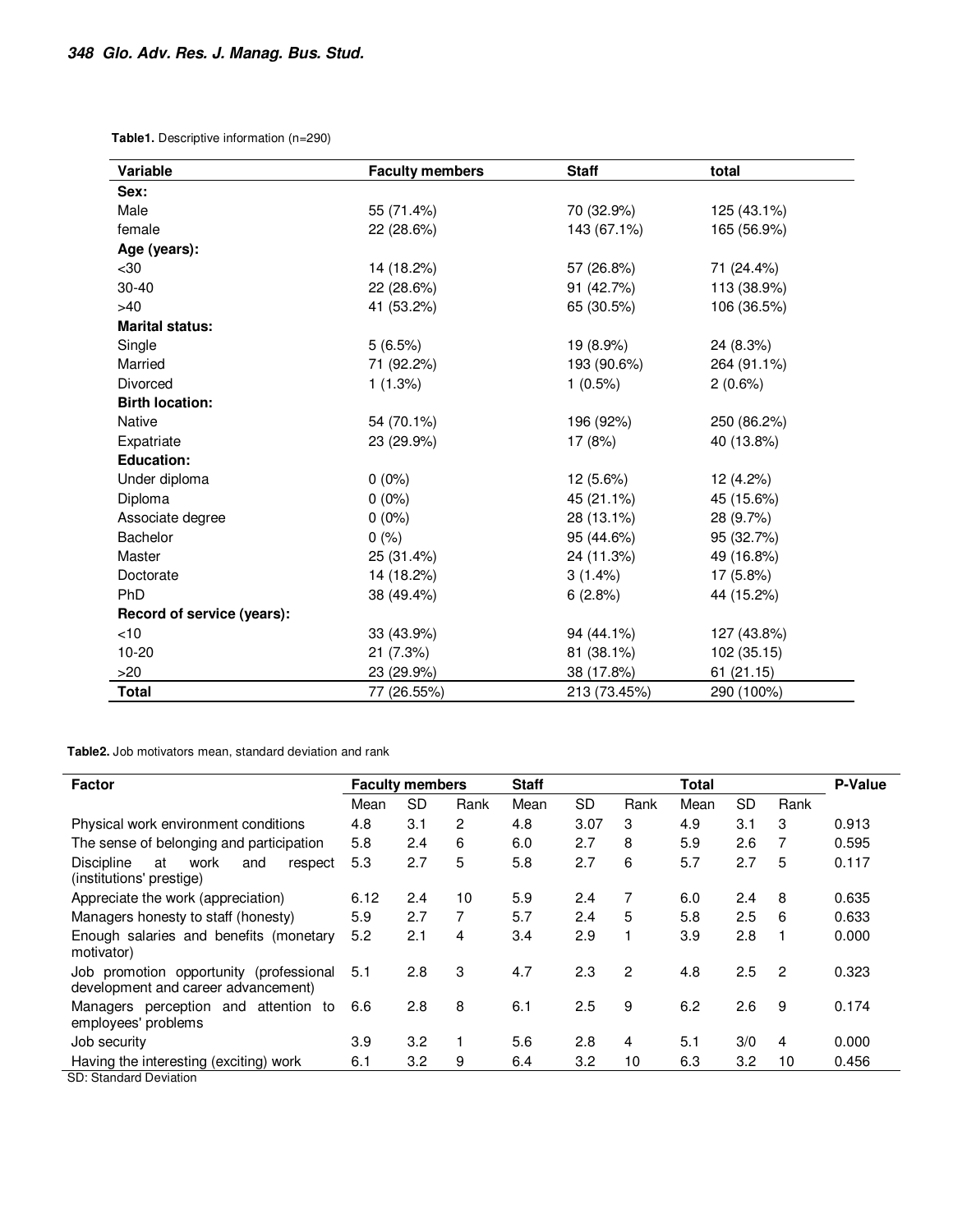**Table1.** Descriptive information (n=290)

| Variable                   | <b>Faculty members</b> | <b>Staff</b> | total       |  |  |
|----------------------------|------------------------|--------------|-------------|--|--|
| Sex:                       |                        |              |             |  |  |
| Male                       | 55 (71.4%)             | 70 (32.9%)   | 125 (43.1%) |  |  |
| female                     | 22 (28.6%)             | 143 (67.1%)  | 165 (56.9%) |  |  |
| Age (years):               |                        |              |             |  |  |
| $30$                       | 14 (18.2%)             | 57 (26.8%)   | 71 (24.4%)  |  |  |
| $30 - 40$                  | 22 (28.6%)             | 91 (42.7%)   | 113 (38.9%) |  |  |
| >40                        | 41 (53.2%)             | 65 (30.5%)   | 106 (36.5%) |  |  |
| <b>Marital status:</b>     |                        |              |             |  |  |
| Single                     | 5(6.5%)                | 19 (8.9%)    | 24 (8.3%)   |  |  |
| Married                    | 71 (92.2%)             | 193 (90.6%)  | 264 (91.1%) |  |  |
| <b>Divorced</b>            | 1(1.3%)                | $1(0.5\%)$   | 2(0.6%)     |  |  |
| <b>Birth location:</b>     |                        |              |             |  |  |
| <b>Native</b>              | 54 (70.1%)             | 196 (92%)    | 250 (86.2%) |  |  |
| Expatriate                 | 23 (29.9%)             | 17 (8%)      | 40 (13.8%)  |  |  |
| <b>Education:</b>          |                        |              |             |  |  |
| Under diploma              | $0(0\%)$               | 12 (5.6%)    | 12 (4.2%)   |  |  |
| Diploma                    | $0(0\%)$               | 45 (21.1%)   | 45 (15.6%)  |  |  |
| Associate degree           | $0(0\%)$               | 28 (13.1%)   | 28 (9.7%)   |  |  |
| <b>Bachelor</b>            | 0(%)                   | 95 (44.6%)   | 95 (32.7%)  |  |  |
| Master                     | 25 (31.4%)             | 24 (11.3%)   | 49 (16.8%)  |  |  |
| Doctorate                  | 14 (18.2%)             | $3(1.4\%)$   | 17 (5.8%)   |  |  |
| PhD                        | 38 (49.4%)             | 6(2.8%)      | 44 (15.2%)  |  |  |
| Record of service (years): |                        |              |             |  |  |
| <10                        | 33 (43.9%)             | 94 (44.1%)   | 127 (43.8%) |  |  |
| $10 - 20$                  | 21(7.3%)               | 81 (38.1%)   |             |  |  |
| >20                        | 23 (29.9%)             | 38 (17.8%)   | 61 (21.15)  |  |  |
| Total                      | 77 (26.55%)            | 213 (73.45%) | 290 (100%)  |  |  |

**Table2.** Job motivators mean, standard deviation and rank

| <b>Factor</b>                                                                  | <b>Faculty members</b> |     | <b>Staff</b>   |      |           | <b>Total</b> |      | P-Value   |                |       |
|--------------------------------------------------------------------------------|------------------------|-----|----------------|------|-----------|--------------|------|-----------|----------------|-------|
|                                                                                | Mean                   | SD  | Rank           | Mean | <b>SD</b> | Rank         | Mean | <b>SD</b> | Rank           |       |
| Physical work environment conditions                                           | 4.8                    | 3.1 | $\overline{2}$ | 4.8  | 3.07      | 3            | 4.9  | 3.1       | 3              | 0.913 |
| The sense of belonging and participation                                       | 5.8                    | 2.4 | 6              | 6.0  | 2.7       | 8            | 5.9  | 2.6       | 7              | 0.595 |
| <b>Discipline</b><br>work<br>at<br>and<br>respect<br>(institutions' prestige)  | 5.3                    | 2.7 | 5              | 5.8  | 2.7       | 6            | 5.7  | 2.7       | 5              | 0.117 |
| Appreciate the work (appreciation)                                             | 6.12                   | 2.4 | 10             | 5.9  | 2.4       | 7            | 6.0  | 2.4       | 8              | 0.635 |
| Managers honesty to staff (honesty)                                            | 5.9                    | 2.7 | 7              | 5.7  | 2.4       | 5            | 5.8  | 2.5       | -6             | 0.633 |
| Enough salaries and benefits (monetary<br>motivator)                           | 5.2                    | 2.1 | 4              | 3.4  | 2.9       | 1            | 3.9  | 2.8       |                | 0.000 |
| Job promotion opportunity (professional<br>development and career advancement) | 5.1                    | 2.8 | 3              | 4.7  | 2.3       | 2            | 4.8  | 2.5       | $\overline{2}$ | 0.323 |
| perception and attention to<br>Managers<br>employees' problems                 | 6.6                    | 2.8 | 8              | 6.1  | 2.5       | 9            | 6.2  | 2.6       | -9             | 0.174 |
| Job security                                                                   | 3.9                    | 3.2 |                | 5.6  | 2.8       | 4            | 5.1  | 3/0       | 4              | 0.000 |
| Having the interesting (exciting) work<br>OD . Otamala ual Davidadia u         | 6.1                    | 3.2 | 9              | 6.4  | 3.2       | 10           | 6.3  | 3.2       | 10             | 0.456 |

SD: Standard Deviation

l,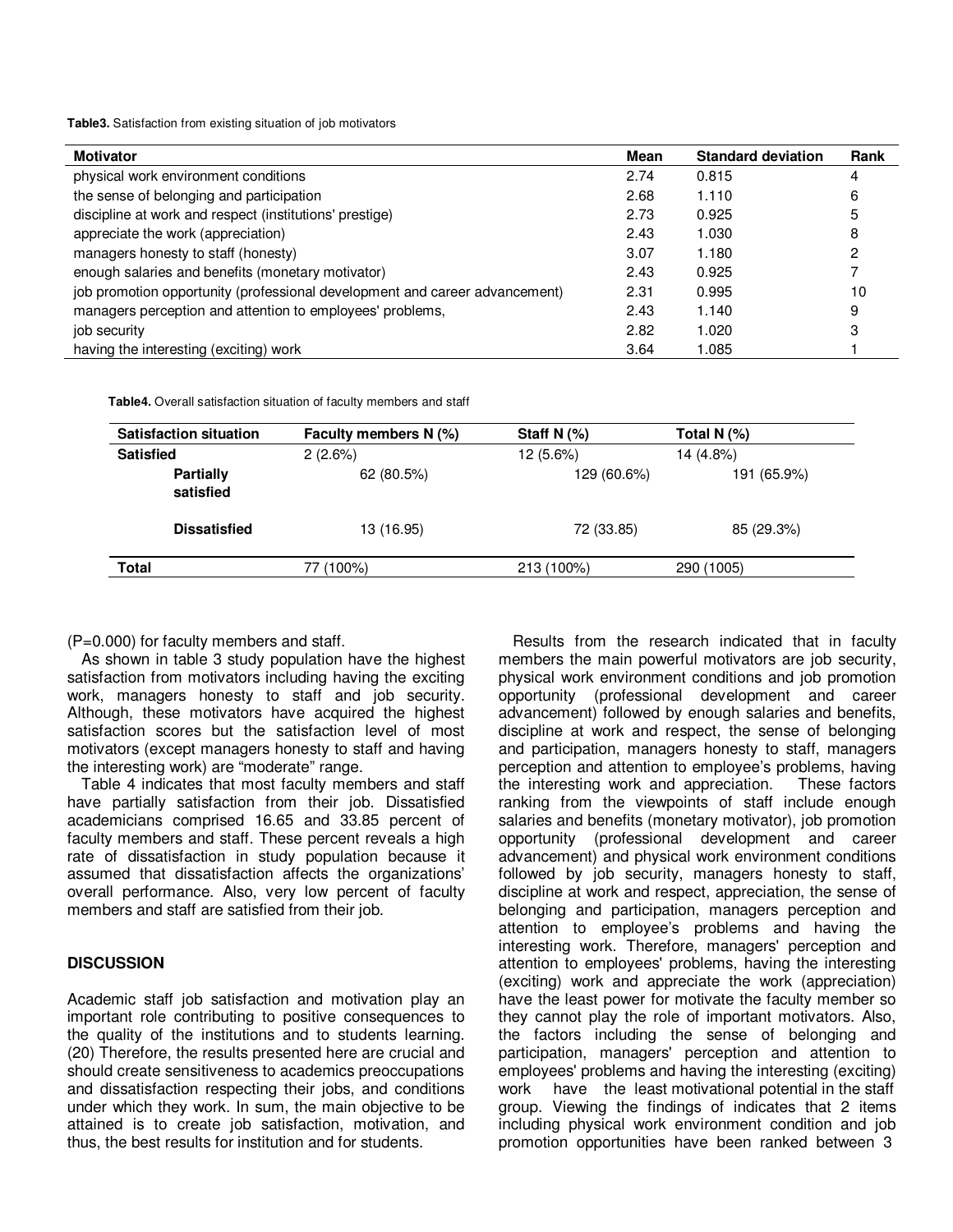**Table3.** Satisfaction from existing situation of job motivators

| <b>Motivator</b>                                                            | Mean | <b>Standard deviation</b> | Rank |
|-----------------------------------------------------------------------------|------|---------------------------|------|
| physical work environment conditions                                        | 2.74 | 0.815                     | 4    |
| the sense of belonging and participation                                    | 2.68 | 1.110                     | 6    |
| discipline at work and respect (institutions' prestige)                     | 2.73 | 0.925                     | 5    |
| appreciate the work (appreciation)                                          | 2.43 | 1.030                     | 8    |
| managers honesty to staff (honesty)                                         | 3.07 | 1.180                     |      |
| enough salaries and benefits (monetary motivator)                           | 2.43 | 0.925                     |      |
| job promotion opportunity (professional development and career advancement) | 2.31 | 0.995                     | 10   |
| managers perception and attention to employees' problems,                   | 2.43 | 1.140                     | 9    |
| job security                                                                | 2.82 | 1.020                     | 3    |
| having the interesting (exciting) work                                      | 3.64 | 1.085                     |      |

 **Table4.** Overall satisfaction situation of faculty members and staff

| <b>Satisfaction situation</b> | Faculty members N (%) | Staff N $(%)$ | Total N $(%)$ |  |  |
|-------------------------------|-----------------------|---------------|---------------|--|--|
| <b>Satisfied</b>              | 2(2.6%)               | 12 (5.6%)     | 14 (4.8%)     |  |  |
| <b>Partially</b><br>satisfied | 62 (80.5%)            | 129 (60.6%)   | 191 (65.9%)   |  |  |
| <b>Dissatisfied</b>           | 13 (16.95)            | 72 (33.85)    | 85 (29.3%)    |  |  |
| <b>Total</b>                  | 77 (100%)             | 213 (100%)    | 290 (1005)    |  |  |

#### (P=0.000) for faculty members and staff.

As shown in table 3 study population have the highest satisfaction from motivators including having the exciting work, managers honesty to staff and job security. Although, these motivators have acquired the highest satisfaction scores but the satisfaction level of most motivators (except managers honesty to staff and having the interesting work) are "moderate" range.

Table 4 indicates that most faculty members and staff have partially satisfaction from their job. Dissatisfied academicians comprised 16.65 and 33.85 percent of faculty members and staff. These percent reveals a high rate of dissatisfaction in study population because it assumed that dissatisfaction affects the organizations' overall performance. Also, very low percent of faculty members and staff are satisfied from their job.

#### **DISCUSSION**

Academic staff job satisfaction and motivation play an important role contributing to positive consequences to the quality of the institutions and to students learning. (20) Therefore, the results presented here are crucial and should create sensitiveness to academics preoccupations and dissatisfaction respecting their jobs, and conditions under which they work. In sum, the main objective to be attained is to create job satisfaction, motivation, and thus, the best results for institution and for students.

Results from the research indicated that in faculty members the main powerful motivators are job security, physical work environment conditions and job promotion opportunity (professional development and career advancement) followed by enough salaries and benefits, discipline at work and respect, the sense of belonging and participation, managers honesty to staff, managers perception and attention to employee's problems, having the interesting work and appreciation. These factors ranking from the viewpoints of staff include enough salaries and benefits (monetary motivator), job promotion opportunity (professional development and career advancement) and physical work environment conditions followed by job security, managers honesty to staff, discipline at work and respect, appreciation, the sense of belonging and participation, managers perception and attention to employee's problems and having the interesting work. Therefore, managers' perception and attention to employees' problems, having the interesting (exciting) work and appreciate the work (appreciation) have the least power for motivate the faculty member so they cannot play the role of important motivators. Also, the factors including the sense of belonging and participation, managers' perception and attention to employees' problems and having the interesting (exciting) work have the least motivational potential in the staff group. Viewing the findings of indicates that 2 items including physical work environment condition and job promotion opportunities have been ranked between 3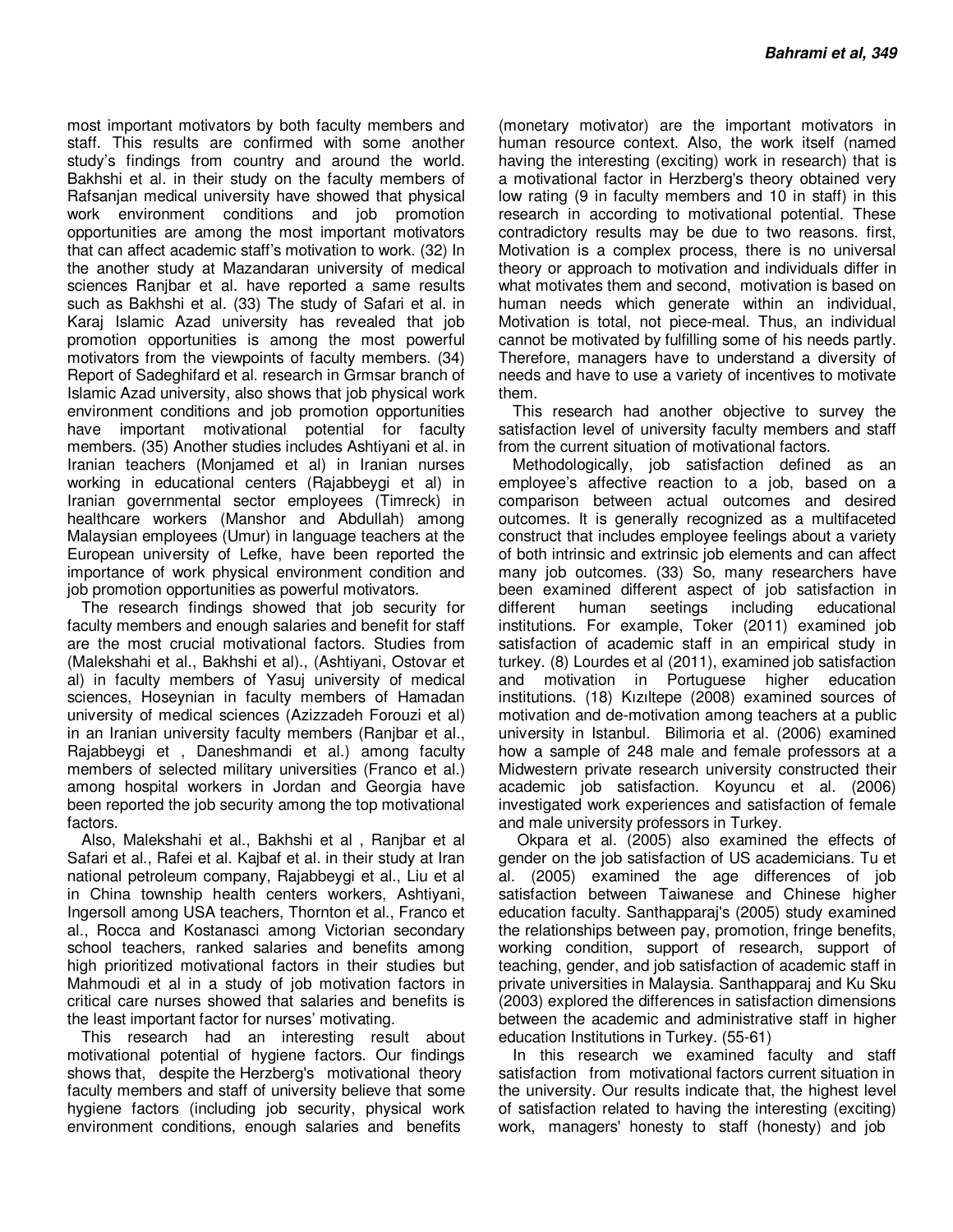most important motivators by both faculty members and staff. This results are confirmed with some another study's findings from country and around the world. Bakhshi et al. in their study on the faculty members of Rafsanjan medical university have showed that physical work environment conditions and job promotion opportunities are among the most important motivators that can affect academic staff's motivation to work. (32) In the another study at Mazandaran university of medical sciences Ranjbar et al. have reported a same results such as Bakhshi et al. (33) The study of Safari et al. in Karaj Islamic Azad university has revealed that job promotion opportunities is among the most powerful motivators from the viewpoints of faculty members. (34) Report of Sadeghifard et al. research in Grmsar branch of Islamic Azad university, also shows that job physical work environment conditions and job promotion opportunities have important motivational potential for faculty members. (35) Another studies includes Ashtiyani et al. in Iranian teachers (Monjamed et al) in Iranian nurses working in educational centers (Rajabbeygi et al) in Iranian governmental sector employees (Timreck) in healthcare workers (Manshor and Abdullah) among Malaysian employees (Umur) in language teachers at the European university of Lefke, have been reported the importance of work physical environment condition and job promotion opportunities as powerful motivators.

The research findings showed that job security for faculty members and enough salaries and benefit for staff are the most crucial motivational factors. Studies from (Malekshahi et al., Bakhshi et al)., (Ashtiyani, Ostovar et al) in faculty members of Yasuj university of medical sciences, Hoseynian in faculty members of Hamadan university of medical sciences (Azizzadeh Forouzi et al) in an Iranian university faculty members (Ranjbar et al., Rajabbeygi et , Daneshmandi et al.) among faculty members of selected military universities (Franco et al.) among hospital workers in Jordan and Georgia have been reported the job security among the top motivational factors.

Also, Malekshahi et al., Bakhshi et al , Ranjbar et al Safari et al., Rafei et al. Kajbaf et al. in their study at Iran national petroleum company, Rajabbeygi et al., Liu et al in China township health centers workers, Ashtiyani, Ingersoll among USA teachers, Thornton et al., Franco et al., Rocca and Kostanasci among Victorian secondary school teachers, ranked salaries and benefits among high prioritized motivational factors in their studies but Mahmoudi et al in a study of job motivation factors in critical care nurses showed that salaries and benefits is the least important factor for nurses' motivating.

This research had an interesting result about motivational potential of hygiene factors. Our findings shows that, despite the Herzberg's motivational theory faculty members and staff of university believe that some hygiene factors (including job security, physical work environment conditions, enough salaries and benefits

(monetary motivator) are the important motivators in human resource context. Also, the work itself (named having the interesting (exciting) work in research) that is a motivational factor in Herzberg's theory obtained very low rating (9 in faculty members and 10 in staff) in this research in according to motivational potential. These contradictory results may be due to two reasons. first, Motivation is a complex process, there is no universal theory or approach to motivation and individuals differ in what motivates them and second, motivation is based on human needs which generate within an individual, Motivation is total, not piece-meal. Thus, an individual cannot be motivated by fulfilling some of his needs partly. Therefore, managers have to understand a diversity of needs and have to use a variety of incentives to motivate them.

This research had another objective to survey the satisfaction level of university faculty members and staff from the current situation of motivational factors.

Methodologically, job satisfaction defined as an employee's affective reaction to a job, based on a comparison between actual outcomes and desired outcomes. It is generally recognized as a multifaceted construct that includes employee feelings about a variety of both intrinsic and extrinsic job elements and can affect many job outcomes. (33) So, many researchers have been examined different aspect of job satisfaction in different human seetings including educational institutions. For example, Toker (2011) examined job satisfaction of academic staff in an empirical study in turkey. (8) Lourdes et al (2011), examined job satisfaction and motivation in Portuguese higher education institutions. (18) Kızıltepe (2008) examined sources of motivation and de-motivation among teachers at a public university in Istanbul. Bilimoria et al. (2006) examined how a sample of 248 male and female professors at a Midwestern private research university constructed their academic job satisfaction. Koyuncu et al. (2006) investigated work experiences and satisfaction of female and male university professors in Turkey.

 Okpara et al. (2005) also examined the effects of gender on the job satisfaction of US academicians. Tu et al. (2005) examined the age differences of job satisfaction between Taiwanese and Chinese higher education faculty. Santhapparaj's (2005) study examined the relationships between pay, promotion, fringe benefits, working condition, support of research, support of teaching, gender, and job satisfaction of academic staff in private universities in Malaysia. Santhapparaj and Ku Sku (2003) explored the differences in satisfaction dimensions between the academic and administrative staff in higher education Institutions in Turkey. (55-61)

In this research we examined faculty and staff satisfaction from motivational factors current situation in the university. Our results indicate that, the highest level of satisfaction related to having the interesting (exciting) work, managers' honesty to staff (honesty) and job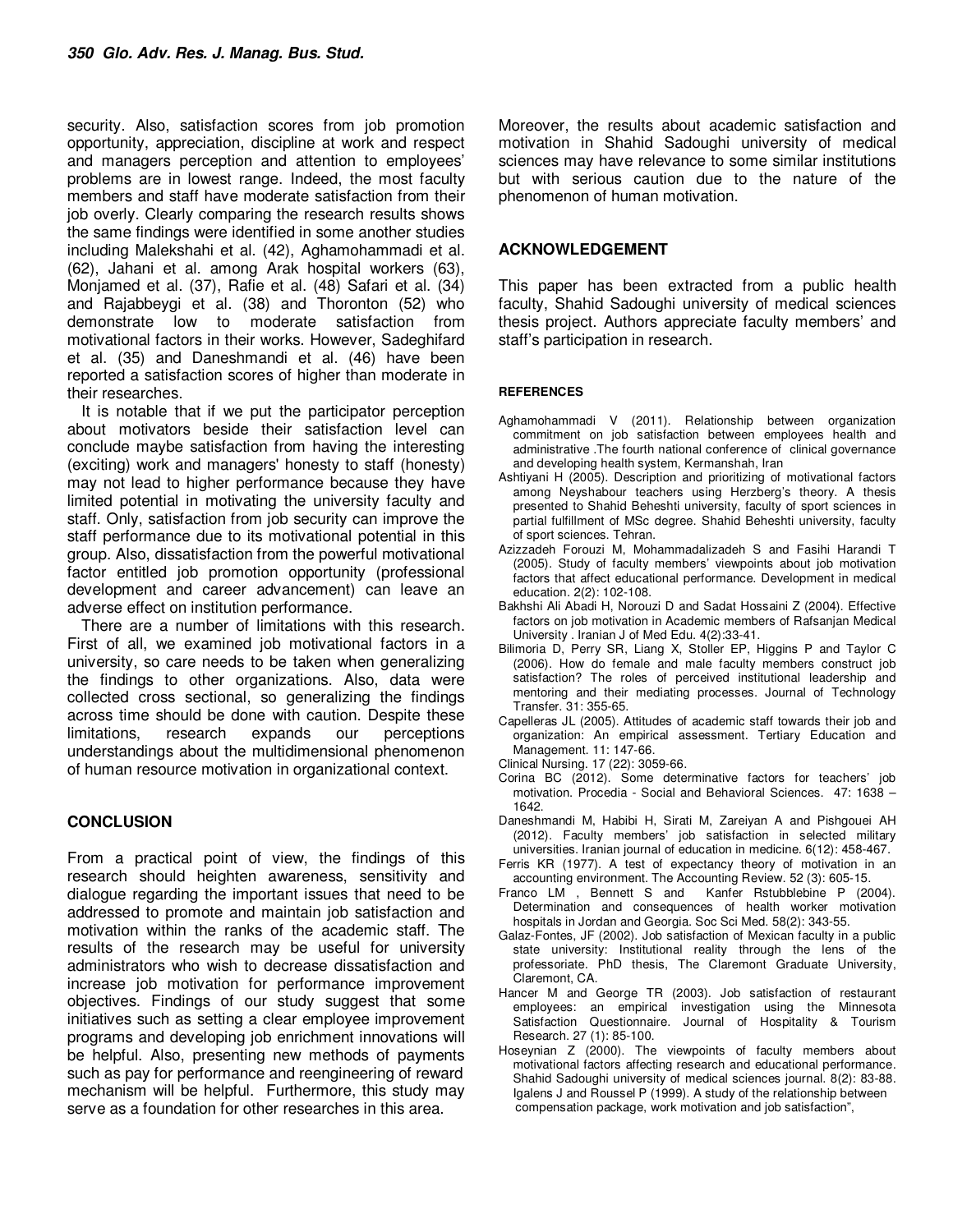security. Also, satisfaction scores from job promotion opportunity, appreciation, discipline at work and respect and managers perception and attention to employees' problems are in lowest range. Indeed, the most faculty members and staff have moderate satisfaction from their job overly. Clearly comparing the research results shows the same findings were identified in some another studies including Malekshahi et al. (42), Aghamohammadi et al. (62), Jahani et al. among Arak hospital workers (63), Monjamed et al. (37), Rafie et al. (48) Safari et al. (34) and Rajabbeygi et al. (38) and Thoronton (52) who demonstrate low to moderate satisfaction from motivational factors in their works. However, Sadeghifard et al. (35) and Daneshmandi et al. (46) have been reported a satisfaction scores of higher than moderate in their researches.

It is notable that if we put the participator perception about motivators beside their satisfaction level can conclude maybe satisfaction from having the interesting (exciting) work and managers' honesty to staff (honesty) may not lead to higher performance because they have limited potential in motivating the university faculty and staff. Only, satisfaction from job security can improve the staff performance due to its motivational potential in this group. Also, dissatisfaction from the powerful motivational factor entitled job promotion opportunity (professional development and career advancement) can leave an adverse effect on institution performance.

There are a number of limitations with this research. First of all, we examined job motivational factors in a university, so care needs to be taken when generalizing the findings to other organizations. Also, data were collected cross sectional, so generalizing the findings across time should be done with caution. Despite these limitations, research expands our perceptions understandings about the multidimensional phenomenon of human resource motivation in organizational context.

## **CONCLUSION**

From a practical point of view, the findings of this research should heighten awareness, sensitivity and dialogue regarding the important issues that need to be addressed to promote and maintain job satisfaction and motivation within the ranks of the academic staff. The results of the research may be useful for university administrators who wish to decrease dissatisfaction and increase job motivation for performance improvement objectives. Findings of our study suggest that some initiatives such as setting a clear employee improvement programs and developing job enrichment innovations will be helpful. Also, presenting new methods of payments such as pay for performance and reengineering of reward mechanism will be helpful. Furthermore, this study may serve as a foundation for other researches in this area.

Moreover, the results about academic satisfaction and motivation in Shahid Sadoughi university of medical sciences may have relevance to some similar institutions but with serious caution due to the nature of the phenomenon of human motivation.

#### **ACKNOWLEDGEMENT**

This paper has been extracted from a public health faculty, Shahid Sadoughi university of medical sciences thesis project. Authors appreciate faculty members' and staff's participation in research.

#### **REFERENCES**

- Aghamohammadi V (2011). Relationship between organization commitment on job satisfaction between employees health and administrative .The fourth national conference of clinical governance and developing health system, Kermanshah, Iran
- Ashtiyani H (2005). Description and prioritizing of motivational factors among Neyshabour teachers using Herzberg's theory. A thesis presented to Shahid Beheshti university, faculty of sport sciences in partial fulfillment of MSc degree. Shahid Beheshti university, faculty of sport sciences. Tehran.
- Azizzadeh Forouzi M, Mohammadalizadeh S and Fasihi Harandi T (2005). Study of faculty members' viewpoints about job motivation factors that affect educational performance. Development in medical education. 2(2): 102-108.
- Bakhshi Ali Abadi H, Norouzi D and Sadat Hossaini Z (2004). Effective factors on job motivation in Academic members of Rafsanjan Medical University . Iranian J of Med Edu. 4(2):33-41.
- Bilimoria D, Perry SR, Liang X, Stoller EP, Higgins P and Taylor C (2006). How do female and male faculty members construct job satisfaction? The roles of perceived institutional leadership and mentoring and their mediating processes. Journal of Technology Transfer. 31: 355-65.
- Capelleras JL (2005). Attitudes of academic staff towards their job and organization: An empirical assessment. Tertiary Education and Management. 11: 147-66.
- Clinical Nursing. 17 (22): 3059-66.
- Corina BC (2012). Some determinative factors for teachers' job motivation. Procedia - Social and Behavioral Sciences. 47: 1638 – 1642.
- Daneshmandi M, Habibi H, Sirati M, Zareiyan A and Pishgouei AH (2012). Faculty members' job satisfaction in selected military universities. Iranian journal of education in medicine. 6(12): 458-467.
- Ferris KR (1977). A test of expectancy theory of motivation in an accounting environment. The Accounting Review. 52 (3): 605-15.
- Franco LM , Bennett S and Kanfer Rstubblebine P (2004). Determination and consequences of health worker motivation hospitals in Jordan and Georgia. Soc Sci Med. 58(2): 343-55.
- Galaz-Fontes, JF (2002). Job satisfaction of Mexican faculty in a public state university: Institutional reality through the lens of the professoriate. PhD thesis, The Claremont Graduate University, Claremont, CA.
- Hancer M and George TR (2003). Job satisfaction of restaurant employees: an empirical investigation using the Minnesota Satisfaction Questionnaire. Journal of Hospitality & Tourism Research. 27 (1): 85-100.
- Hoseynian Z (2000). The viewpoints of faculty members about motivational factors affecting research and educational performance. Shahid Sadoughi university of medical sciences journal. 8(2): 83-88. Igalens J and Roussel P (1999). A study of the relationship between compensation package, work motivation and job satisfaction",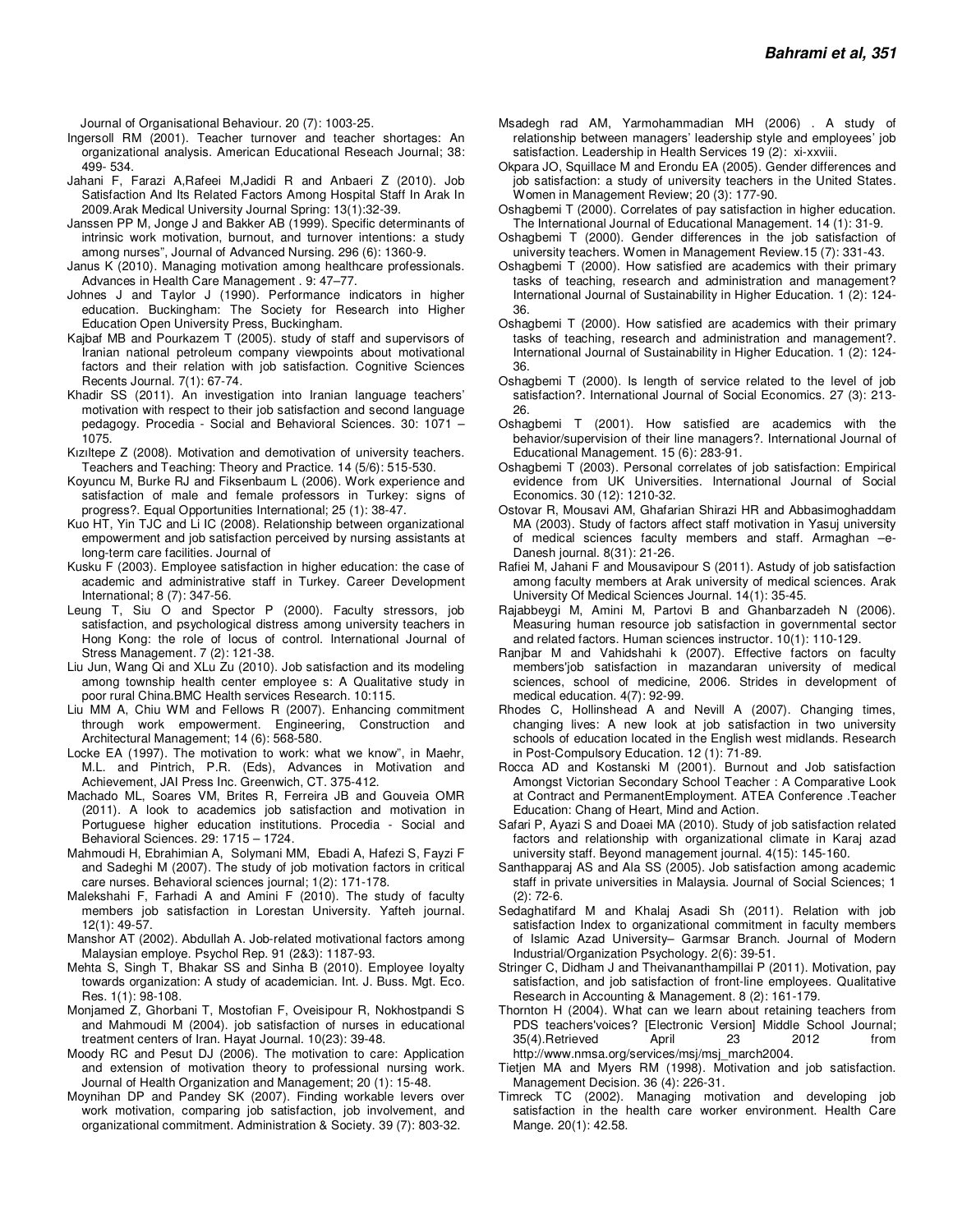Journal of Organisational Behaviour. 20 (7): 1003-25.

- Ingersoll RM (2001). Teacher turnover and teacher shortages: An organizational analysis. American Educational Reseach Journal; 38: 499- 534.
- Jahani F, Farazi A,Rafeei M,Jadidi R and Anbaeri Z (2010). Job Satisfaction And Its Related Factors Among Hospital Staff In Arak In 2009.Arak Medical University Journal Spring: 13(1):32-39.
- Janssen PP M, Jonge J and Bakker AB (1999). Specific determinants of intrinsic work motivation, burnout, and turnover intentions: a study among nurses", Journal of Advanced Nursing. 296 (6): 1360-9.
- Janus K (2010). Managing motivation among healthcare professionals. Advances in Health Care Management . 9: 47–77.
- Johnes J and Taylor J (1990). Performance indicators in higher education. Buckingham: The Society for Research into Higher Education Open University Press, Buckingham.
- Kajbaf MB and Pourkazem T (2005). study of staff and supervisors of Iranian national petroleum company viewpoints about motivational factors and their relation with job satisfaction. Cognitive Sciences Recents Journal. 7(1): 67-74.
- Khadir SS (2011). An investigation into Iranian language teachers' motivation with respect to their job satisfaction and second language pedagogy. Procedia - Social and Behavioral Sciences. 30: 1071 – 1075.
- Kızıltepe Z (2008). Motivation and demotivation of university teachers. Teachers and Teaching: Theory and Practice. 14 (5/6): 515-530.
- Koyuncu M, Burke RJ and Fiksenbaum L (2006). Work experience and satisfaction of male and female professors in Turkey: signs of progress?. Equal Opportunities International; 25 (1): 38-47.
- Kuo HT, Yin TJC and Li IC (2008). Relationship between organizational empowerment and job satisfaction perceived by nursing assistants at long-term care facilities. Journal of
- Kusku F (2003). Employee satisfaction in higher education: the case of academic and administrative staff in Turkey. Career Development International; 8 (7): 347-56.
- Leung T, Siu O and Spector P (2000). Faculty stressors, job satisfaction, and psychological distress among university teachers in Hong Kong: the role of locus of control. International Journal of Stress Management. 7 (2): 121-38.
- Liu Jun, Wang Qi and XLu Zu (2010). Job satisfaction and its modeling among township health center employee s: A Qualitative study in poor rural China.BMC Health services Research. 10:115.
- Liu MM A, Chiu WM and Fellows R (2007). Enhancing commitment through work empowerment. Engineering, Construction and Architectural Management; 14 (6): 568-580.
- Locke EA (1997). The motivation to work: what we know", in Maehr, M.L. and Pintrich, P.R. (Eds), Advances in Motivation and Achievement, JAI Press Inc. Greenwich, CT. 375-412.
- Machado ML, Soares VM, Brites R, Ferreira JB and Gouveia OMR (2011). A look to academics job satisfaction and motivation in Portuguese higher education institutions. Procedia - Social and Behavioral Sciences. 29: 1715 – 1724.
- Mahmoudi H, Ebrahimian A, Solymani MM, Ebadi A, Hafezi S, Fayzi F and Sadeghi M (2007). The study of job motivation factors in critical care nurses. Behavioral sciences journal; 1(2): 171-178.
- Malekshahi F, Farhadi A and Amini F (2010). The study of faculty members job satisfaction in Lorestan University. Yafteh journal. 12(1): 49-57.
- Manshor AT (2002). Abdullah A. Job-related motivational factors among Malaysian employe. Psychol Rep. 91 (2&3): 1187-93.
- Mehta S, Singh T, Bhakar SS and Sinha B (2010). Employee loyalty towards organization: A study of academician. Int. J. Buss. Mgt. Eco. Res. 1(1): 98-108.
- Monjamed Z, Ghorbani T, Mostofian F, Oveisipour R, Nokhostpandi S and Mahmoudi M (2004). job satisfaction of nurses in educational treatment centers of Iran. Hayat Journal. 10(23): 39-48.
- Moody RC and Pesut DJ (2006). The motivation to care: Application and extension of motivation theory to professional nursing work. Journal of Health Organization and Management; 20 (1): 15-48.
- Moynihan DP and Pandey SK (2007). Finding workable levers over work motivation, comparing job satisfaction, job involvement, and organizational commitment. Administration & Society. 39 (7): 803-32.
- Msadegh rad AM, Yarmohammadian MH (2006) . A study of relationship between managers' leadership style and employees' job satisfaction. Leadership in Health Services 19 (2): xi-xxviii.
- Okpara JO, Squillace M and Erondu EA (2005). Gender differences and job satisfaction: a study of university teachers in the United States. Women in Management Review; 20 (3): 177-90.
- Oshagbemi T (2000). Correlates of pay satisfaction in higher education. The International Journal of Educational Management. 14 (1): 31-9.
- Oshagbemi T (2000). Gender differences in the job satisfaction of university teachers. Women in Management Review.15 (7): 331-43.
- Oshagbemi T (2000). How satisfied are academics with their primary tasks of teaching, research and administration and management? International Journal of Sustainability in Higher Education. 1 (2): 124- 36.
- Oshagbemi T (2000). How satisfied are academics with their primary tasks of teaching, research and administration and management?. International Journal of Sustainability in Higher Education. 1 (2): 124- 36.
- Oshagbemi T (2000). Is length of service related to the level of job satisfaction?. International Journal of Social Economics. 27 (3): 213- 26.
- Oshagbemi T (2001). How satisfied are academics with the behavior/supervision of their line managers?. International Journal of Educational Management. 15 (6): 283-91.
- Oshagbemi T (2003). Personal correlates of job satisfaction: Empirical evidence from UK Universities. International Journal of Social Economics. 30 (12): 1210-32.
- Ostovar R, Mousavi AM, Ghafarian Shirazi HR and Abbasimoghaddam MA (2003). Study of factors affect staff motivation in Yasuj university of medical sciences faculty members and staff. Armaghan –e-Danesh journal. 8(31): 21-26.
- Rafiei M, Jahani F and Mousavipour S (2011). Astudy of job satisfaction among faculty members at Arak university of medical sciences. Arak University Of Medical Sciences Journal. 14(1): 35-45.
- Rajabbeygi M, Amini M, Partovi B and Ghanbarzadeh N (2006). Measuring human resource job satisfaction in governmental sector and related factors. Human sciences instructor. 10(1): 110-129.
- Ranjbar M and Vahidshahi k (2007). Effective factors on faculty members'job satisfaction in mazandaran university of medical sciences, school of medicine, 2006. Strides in development of medical education. 4(7): 92-99.
- Rhodes C, Hollinshead A and Nevill A (2007). Changing times, changing lives: A new look at job satisfaction in two university schools of education located in the English west midlands. Research in Post-Compulsory Education. 12 (1): 71-89.
- Rocca AD and Kostanski M (2001). Burnout and Job satisfaction Amongst Victorian Secondary School Teacher : A Comparative Look at Contract and PermanentEmployment. ATEA Conference .Teacher Education: Chang of Heart, Mind and Action.
- Safari P, Ayazi S and Doaei MA (2010). Study of job satisfaction related factors and relationship with organizational climate in Karaj azad university staff. Beyond management journal. 4(15): 145-160.
- Santhapparaj AS and Ala SS (2005). Job satisfaction among academic staff in private universities in Malaysia. Journal of Social Sciences; 1 (2): 72-6.
- Sedaghatifard M and Khalaj Asadi Sh (2011). Relation with job satisfaction Index to organizational commitment in faculty members of Islamic Azad University– Garmsar Branch. Journal of Modern Industrial/Organization Psychology. 2(6): 39-51.
- Stringer C, Didham J and Theivananthampillai P (2011). Motivation, pay satisfaction, and job satisfaction of front-line employees. Qualitative Research in Accounting & Management. 8 (2): 161-179.
- Thornton H (2004). What can we learn about retaining teachers from PDS teachers'voices? [Electronic Version] Middle School Journal; 35(4).Retrieved April 23 2012 from http://www.nmsa.org/services/msj/msj\_march2004.
- Tietjen MA and Myers RM (1998). Motivation and job satisfaction. Management Decision. 36 (4): 226-31.
- Timreck TC (2002). Managing motivation and developing job satisfaction in the health care worker environment. Health Care Mange. 20(1): 42.58.